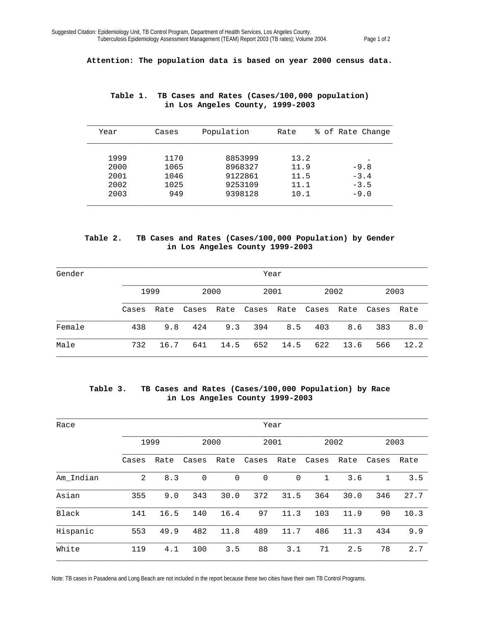**Attention: The population data is based on year 2000 census data.** 

| Year | Cases | Population | Rate | % of Rate Change |
|------|-------|------------|------|------------------|
|      |       |            |      |                  |
| 1999 | 1170  | 8853999    | 13.2 |                  |
| 2000 | 1065  | 8968327    | 11.9 | $-9.8$           |
| 2001 | 1046  | 9122861    | 11.5 | $-3.4$           |
| 2002 | 1025  | 9253109    | 11.1 | $-3.5$           |
| 2003 | 949   | 9398128    | 10.1 | $-9.0$           |
|      |       |            |      |                  |

## **Table 1. TB Cases and Rates (Cases/100,000 population) in Los Angeles County, 1999-2003**

## **Table 2. TB Cases and Rates (Cases/100,000 Population) by Gender in Los Angeles County 1999-2003**

| Gender |       | Year |       |      |       |      |       |      |       |      |  |
|--------|-------|------|-------|------|-------|------|-------|------|-------|------|--|
|        |       | 1999 |       | 2000 |       | 2001 |       | 2002 |       | 2003 |  |
|        | Cases | Rate | Cases | Rate | Cases | Rate | Cases | Rate | Cases | Rate |  |
| Female | 438   | 9.8  | 424   | 9.3  | 394   | 8.5  | 403   | 8.6  | 383   | 8.0  |  |
| Male   | 732   | 16.7 | 641   | 14.5 | 652   | 14.5 | 622   | 13.6 | 566   | 12.2 |  |

## **Table 3. TB Cases and Rates (Cases/100,000 Population) by Race in Los Angeles County 1999-2003**

| Race      |       | Year |             |             |             |             |             |      |             |      |  |
|-----------|-------|------|-------------|-------------|-------------|-------------|-------------|------|-------------|------|--|
|           |       | 1999 |             | 2000        |             | 2001        |             | 2002 |             | 2003 |  |
|           | Cases | Rate | Cases       | Rate        | Cases       | Rate        | Cases       | Rate | Cases       | Rate |  |
| Am Indian | 2     | 8.3  | $\mathbf 0$ | $\mathbf 0$ | $\mathbf 0$ | $\mathbf 0$ | $\mathbf 1$ | 3.6  | $\mathbf 1$ | 3.5  |  |
| Asian     | 355   | 9.0  | 343         | 30.0        | 372         | 31.5        | 364         | 30.0 | 346         | 27.7 |  |
| Black     | 141   | 16.5 | 140         | 16.4        | 97          | 11.3        | 103         | 11.9 | 90          | 10.3 |  |
| Hispanic  | 553   | 49.9 | 482         | 11.8        | 489         | 11.7        | 486         | 11.3 | 434         | 9.9  |  |
| White     | 119   | 4.1  | 100         | 3.5         | 88          | 3.1         | 71          | 2.5  | 78          | 2.7  |  |

Note: TB cases in Pasadena and Long Beach are not included in the report because these two cities have their own TB Control Programs.